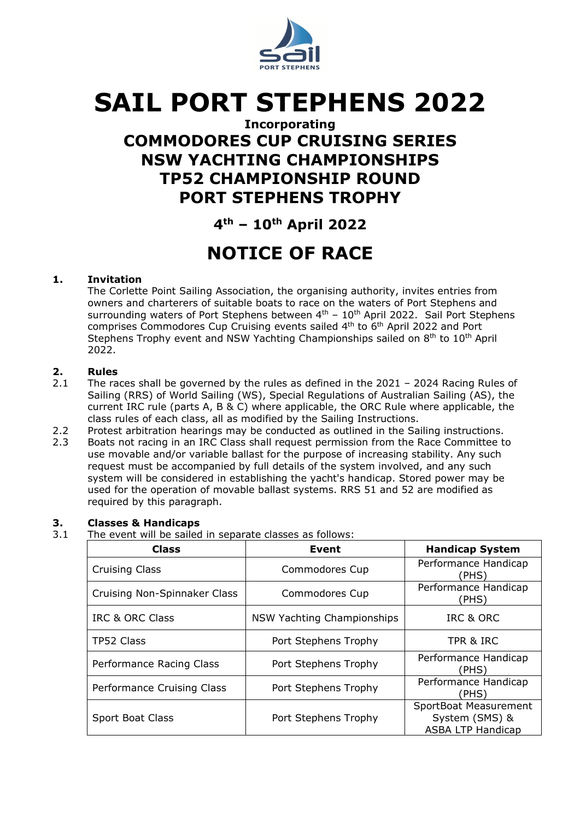

# **SAIL PORT STEPHENS 2022**

### **Incorporating COMMODORES CUP CRUISING SERIES NSW YACHTING CHAMPIONSHIPS TP52 CHAMPIONSHIP ROUND PORT STEPHENS TROPHY**

### **4th – 10th April 2022**

## **NOTICE OF RACE**

### **1. Invitation**

The Corlette Point Sailing Association, the organising authority, invites entries from owners and charterers of suitable boats to race on the waters of Port Stephens and surrounding waters of Port Stephens between  $4<sup>th</sup> - 10<sup>th</sup>$  April 2022. Sail Port Stephens comprises Commodores Cup Cruising events sailed 4th to 6th April 2022 and Port Stephens Trophy event and NSW Yachting Championships sailed on 8<sup>th</sup> to 10<sup>th</sup> April 2022.

### **2. Rules**

- The races shall be governed by the rules as defined in the 2021 2024 Racing Rules of Sailing (RRS) of World Sailing (WS), Special Regulations of Australian Sailing (AS), the current IRC rule (parts A, B & C) where applicable, the ORC Rule where applicable, the class rules of each class, all as modified by the Sailing Instructions.
- 2.2 Protest arbitration hearings may be conducted as outlined in the Sailing instructions.
- 2.3 Boats not racing in an IRC Class shall request permission from the Race Committee to use movable and/or variable ballast for the purpose of increasing stability. Any such request must be accompanied by full details of the system involved, and any such system will be considered in establishing the yacht's handicap. Stored power may be used for the operation of movable ballast systems. RRS 51 and 52 are modified as required by this paragraph.

#### **3. Classes & Handicaps**

3.1 The event will be sailed in separate classes as follows:

| <b>Class</b>                 | Event                             | <b>Handicap System</b>                                              |
|------------------------------|-----------------------------------|---------------------------------------------------------------------|
| <b>Cruising Class</b>        | Commodores Cup                    | Performance Handicap<br>(PHS)                                       |
| Cruising Non-Spinnaker Class | Commodores Cup                    | Performance Handicap<br>(PHS)                                       |
| IRC & ORC Class              | <b>NSW Yachting Championships</b> | IRC & ORC                                                           |
| TP52 Class                   | Port Stephens Trophy              | TPR & IRC                                                           |
| Performance Racing Class     | Port Stephens Trophy              | Performance Handicap<br>(PHS)                                       |
| Performance Cruising Class   | Port Stephens Trophy              | Performance Handicap<br>(PHS)                                       |
| Sport Boat Class             | Port Stephens Trophy              | SportBoat Measurement<br>System (SMS) &<br><b>ASBA LTP Handicap</b> |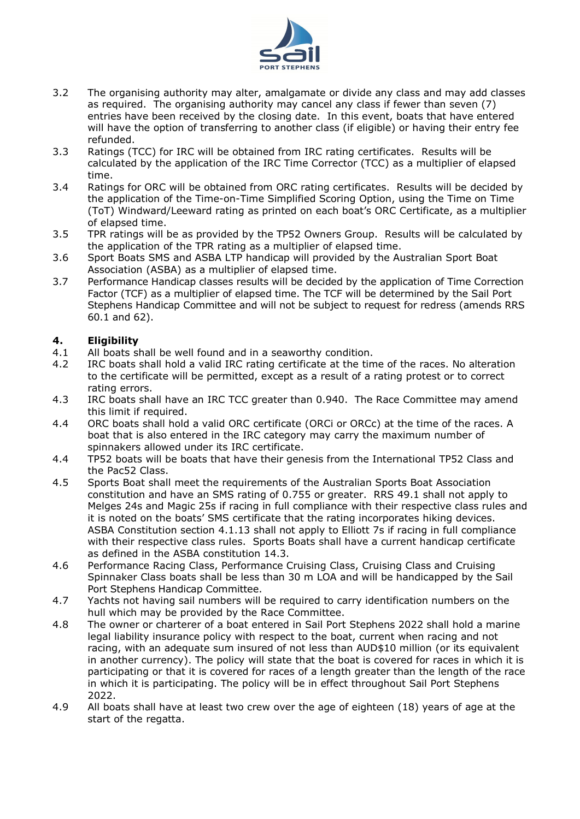

- 3.2 The organising authority may alter, amalgamate or divide any class and may add classes as required. The organising authority may cancel any class if fewer than seven (7) entries have been received by the closing date. In this event, boats that have entered will have the option of transferring to another class (if eligible) or having their entry fee refunded.
- 3.3 Ratings (TCC) for IRC will be obtained from IRC rating certificates. Results will be calculated by the application of the IRC Time Corrector (TCC) as a multiplier of elapsed time.
- 3.4 Ratings for ORC will be obtained from ORC rating certificates. Results will be decided by the application of the Time-on-Time Simplified Scoring Option, using the Time on Time (ToT) Windward/Leeward rating as printed on each boat's ORC Certificate, as a multiplier of elapsed time.
- 3.5 TPR ratings will be as provided by the TP52 Owners Group. Results will be calculated by the application of the TPR rating as a multiplier of elapsed time.
- 3.6 Sport Boats SMS and ASBA LTP handicap will provided by the Australian Sport Boat Association (ASBA) as a multiplier of elapsed time.
- 3.7 Performance Handicap classes results will be decided by the application of Time Correction Factor (TCF) as a multiplier of elapsed time. The TCF will be determined by the Sail Port Stephens Handicap Committee and will not be subject to request for redress (amends RRS 60.1 and 62).

### **4. Eligibility**

- 4.1 All boats shall be well found and in a seaworthy condition.
- 4.2 IRC boats shall hold a valid IRC rating certificate at the time of the races. No alteration to the certificate will be permitted, except as a result of a rating protest or to correct rating errors.
- 4.3 IRC boats shall have an IRC TCC greater than 0.940. The Race Committee may amend this limit if required.
- 4.4 ORC boats shall hold a valid ORC certificate (ORCi or ORCc) at the time of the races. A boat that is also entered in the IRC category may carry the maximum number of spinnakers allowed under its IRC certificate.
- 4.4 TP52 boats will be boats that have their genesis from the International TP52 Class and the Pac52 Class.
- 4.5 Sports Boat shall meet the requirements of the Australian Sports Boat Association constitution and have an SMS rating of 0.755 or greater. RRS 49.1 shall not apply to Melges 24s and Magic 25s if racing in full compliance with their respective class rules and it is noted on the boats' SMS certificate that the rating incorporates hiking devices. ASBA Constitution section 4.1.13 shall not apply to Elliott 7s if racing in full compliance with their respective class rules. Sports Boats shall have a current handicap certificate as defined in the ASBA constitution 14.3.
- 4.6 Performance Racing Class, Performance Cruising Class, Cruising Class and Cruising Spinnaker Class boats shall be less than 30 m LOA and will be handicapped by the Sail Port Stephens Handicap Committee.
- 4.7 Yachts not having sail numbers will be required to carry identification numbers on the hull which may be provided by the Race Committee.
- 4.8 The owner or charterer of a boat entered in Sail Port Stephens 2022 shall hold a marine legal liability insurance policy with respect to the boat, current when racing and not racing, with an adequate sum insured of not less than AUD\$10 million (or its equivalent in another currency). The policy will state that the boat is covered for races in which it is participating or that it is covered for races of a length greater than the length of the race in which it is participating. The policy will be in effect throughout Sail Port Stephens 2022.
- 4.9 All boats shall have at least two crew over the age of eighteen (18) years of age at the start of the regatta.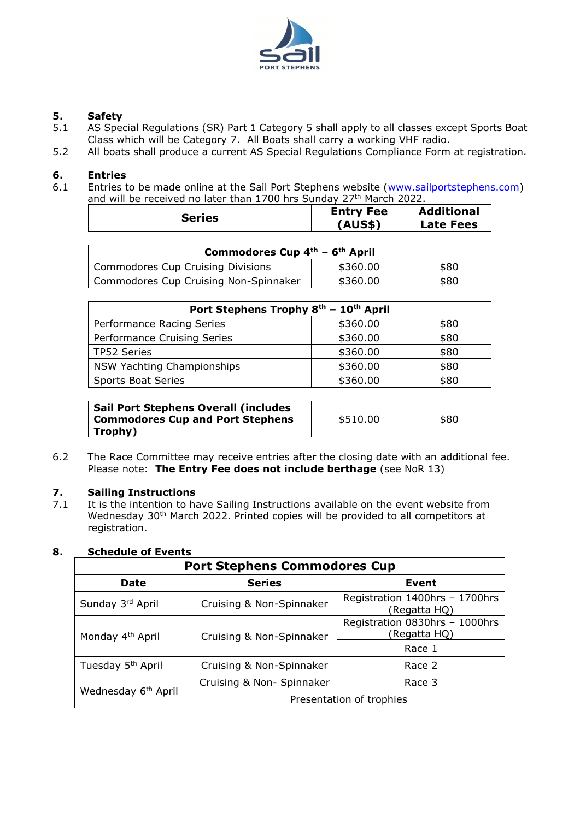

## **5. Safety**

- 5.1 AS Special Regulations (SR) Part 1 Category 5 shall apply to all classes except Sports Boat Class which will be Category 7. All Boats shall carry a working VHF radio.
- 5.2 All boats shall produce a current AS Special Regulations Compliance Form at registration.

### **6. Entries**

Entries to be made online at the Sail Port Stephens website [\(www.sailportstephens.com\)](about:blank) and will be received no later than 1700 hrs Sunday 27<sup>th</sup> March 2022.

| Series | <b>Entry Fee</b><br>(AUS\$) | <b>Additional</b><br><b>Late Fees</b> |
|--------|-----------------------------|---------------------------------------|
|        |                             |                                       |

| Commodores Cup $4^{\text{th}}$ – $6^{\text{th}}$ April |          |      |  |
|--------------------------------------------------------|----------|------|--|
| <b>Commodores Cup Cruising Divisions</b>               | \$360.00 | \$80 |  |
| Commodores Cup Cruising Non-Spinnaker                  | \$360.00 | \$80 |  |

| Port Stephens Trophy 8th - 10th April |          |      |
|---------------------------------------|----------|------|
| Performance Racing Series             | \$360.00 | \$80 |
| Performance Cruising Series           | \$360.00 | \$80 |
| TP52 Series                           | \$360.00 | \$80 |
| NSW Yachting Championships            | \$360.00 | \$80 |
| <b>Sports Boat Series</b>             | \$360.00 | \$80 |

| <b>Sail Port Stephens Overall (includes)</b><br><b>Commodores Cup and Port Stephens</b> | \$510.00 | \$80 |
|-----------------------------------------------------------------------------------------|----------|------|
| Trophy)                                                                                 |          |      |

6.2 The Race Committee may receive entries after the closing date with an additional fee. Please note: **The Entry Fee does not include berthage** (see NoR 13)

### **7.** Sailing Instructions<br>7.1 It is the intention to ha

It is the intention to have Sailing Instructions available on the event website from Wednesday 30<sup>th</sup> March 2022. Printed copies will be provided to all competitors at registration.

### **Port Stephens Commodores Cup Date Series Event** Sunday  $3^{rd}$  April Cruising & Non-Spinnaker Registration 1400hrs – 1700hrs (Regatta HQ) Monday 4<sup>th</sup> April | Cruising & Non-Spinnaker Registration 0830hrs – 1000hrs (Regatta HQ) Race 1 Tuesday 5<sup>th</sup> April | Cruising & Non-Spinnaker | Race 2

### **8. Schedule of Events**

| Wednesday 6 <sup>th</sup> April | Cruising & Non- Spinnaker | Race 3 |
|---------------------------------|---------------------------|--------|
|                                 | Presentation of trophies  |        |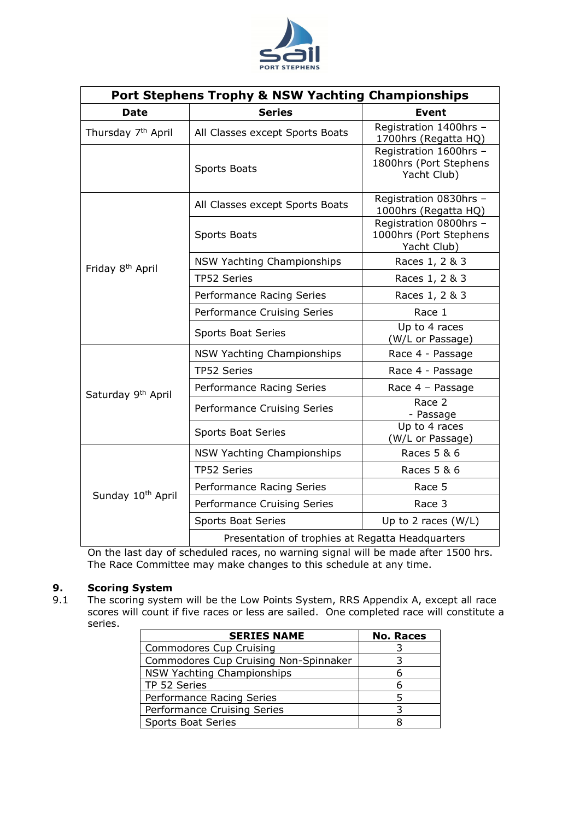

| <b>Port Stephens Trophy &amp; NSW Yachting Championships</b> |                                                  |                                                                 |  |
|--------------------------------------------------------------|--------------------------------------------------|-----------------------------------------------------------------|--|
| <b>Date</b>                                                  | <b>Series</b>                                    | <b>Event</b>                                                    |  |
| Thursday 7 <sup>th</sup> April                               | All Classes except Sports Boats                  | Registration 1400hrs -<br>1700hrs (Regatta HQ)                  |  |
|                                                              | <b>Sports Boats</b>                              | Registration 1600hrs -<br>1800hrs (Port Stephens<br>Yacht Club) |  |
|                                                              | All Classes except Sports Boats                  | Registration 0830hrs -<br>1000hrs (Regatta HQ)                  |  |
|                                                              | <b>Sports Boats</b>                              | Registration 0800hrs -<br>1000hrs (Port Stephens<br>Yacht Club) |  |
| Friday 8 <sup>th</sup> April                                 | NSW Yachting Championships                       | Races 1, 2 & 3                                                  |  |
|                                                              | TP52 Series                                      | Races 1, 2 & 3                                                  |  |
|                                                              | Performance Racing Series                        | Races 1, 2 & 3                                                  |  |
|                                                              | Performance Cruising Series                      | Race 1                                                          |  |
|                                                              | <b>Sports Boat Series</b>                        | Up to 4 races<br>(W/L or Passage)                               |  |
|                                                              | <b>NSW Yachting Championships</b>                | Race 4 - Passage                                                |  |
|                                                              | TP52 Series                                      | Race 4 - Passage                                                |  |
| Saturday 9 <sup>th</sup> April                               | Performance Racing Series                        | Race 4 - Passage                                                |  |
|                                                              | Performance Cruising Series                      | Race 2<br>- Passage                                             |  |
|                                                              | <b>Sports Boat Series</b>                        | Up to 4 races<br>(W/L or Passage)                               |  |
| Sunday 10th April                                            | <b>NSW Yachting Championships</b>                | Races 5 & 6                                                     |  |
|                                                              | TP52 Series                                      | Races 5 & 6                                                     |  |
|                                                              | Performance Racing Series                        | Race 5                                                          |  |
|                                                              | Performance Cruising Series                      | Race 3                                                          |  |
|                                                              | <b>Sports Boat Series</b>                        | Up to 2 races $(W/L)$                                           |  |
|                                                              | Presentation of trophies at Regatta Headquarters |                                                                 |  |

On the last day of scheduled races, no warning signal will be made after 1500 hrs. The Race Committee may make changes to this schedule at any time.

## **9. Scoring System**<br>**9.1** The scoring syster

9.1 The scoring system will be the Low Points System, RRS Appendix A, except all race scores will count if five races or less are sailed. One completed race will constitute a series.

| <b>SERIES NAME</b>                    | <b>No. Races</b> |
|---------------------------------------|------------------|
| Commodores Cup Cruising               |                  |
| Commodores Cup Cruising Non-Spinnaker |                  |
| NSW Yachting Championships            |                  |
| TP 52 Series                          | n                |
| Performance Racing Series             |                  |
| Performance Cruising Series           |                  |
| <b>Sports Boat Series</b>             |                  |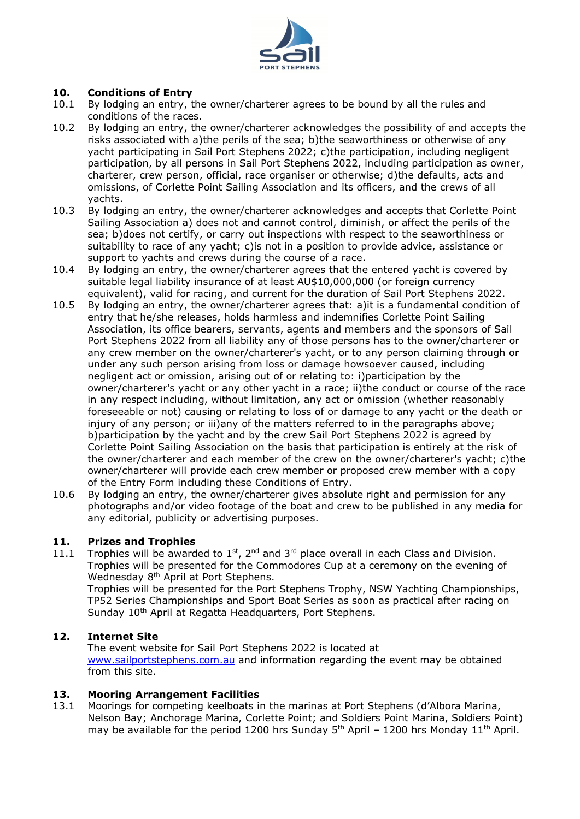

#### **10. Conditions of Entry**

- 10.1 By lodging an entry, the owner/charterer agrees to be bound by all the rules and conditions of the races.
- 10.2 By lodging an entry, the owner/charterer acknowledges the possibility of and accepts the risks associated with a)the perils of the sea; b)the seaworthiness or otherwise of any yacht participating in Sail Port Stephens 2022; c)the participation, including negligent participation, by all persons in Sail Port Stephens 2022, including participation as owner, charterer, crew person, official, race organiser or otherwise; d)the defaults, acts and omissions, of Corlette Point Sailing Association and its officers, and the crews of all yachts.
- 10.3 By lodging an entry, the owner/charterer acknowledges and accepts that Corlette Point Sailing Association a) does not and cannot control, diminish, or affect the perils of the sea; b)does not certify, or carry out inspections with respect to the seaworthiness or suitability to race of any yacht; c)is not in a position to provide advice, assistance or support to yachts and crews during the course of a race.
- 10.4 By lodging an entry, the owner/charterer agrees that the entered yacht is covered by suitable legal liability insurance of at least AU\$10,000,000 (or foreign currency equivalent), valid for racing, and current for the duration of Sail Port Stephens 2022.
- 10.5 By lodging an entry, the owner/charterer agrees that: a)it is a fundamental condition of entry that he/she releases, holds harmless and indemnifies Corlette Point Sailing Association, its office bearers, servants, agents and members and the sponsors of Sail Port Stephens 2022 from all liability any of those persons has to the owner/charterer or any crew member on the owner/charterer's yacht, or to any person claiming through or under any such person arising from loss or damage howsoever caused, including negligent act or omission, arising out of or relating to: i)participation by the owner/charterer's yacht or any other yacht in a race; ii)the conduct or course of the race in any respect including, without limitation, any act or omission (whether reasonably foreseeable or not) causing or relating to loss of or damage to any yacht or the death or injury of any person; or iii)any of the matters referred to in the paragraphs above; b)participation by the yacht and by the crew Sail Port Stephens 2022 is agreed by Corlette Point Sailing Association on the basis that participation is entirely at the risk of the owner/charterer and each member of the crew on the owner/charterer's yacht; c)the owner/charterer will provide each crew member or proposed crew member with a copy of the Entry Form including these Conditions of Entry.
- 10.6 By lodging an entry, the owner/charterer gives absolute right and permission for any photographs and/or video footage of the boat and crew to be published in any media for any editorial, publicity or advertising purposes.

#### **11. Prizes and Trophies**

11.1 Trophies will be awarded to  $1^{st}$ , 2<sup>nd</sup> and 3<sup>rd</sup> place overall in each Class and Division. Trophies will be presented for the Commodores Cup at a ceremony on the evening of Wednesday 8<sup>th</sup> April at Port Stephens. Trophies will be presented for the Port Stephens Trophy, NSW Yachting Championships,

TP52 Series Championships and Sport Boat Series as soon as practical after racing on Sunday 10<sup>th</sup> April at Regatta Headquarters, Port Stephens.

#### **12. Internet Site**

The event website for Sail Port Stephens 2022 is located at [www.sailportstephens.com.au](about:blank) and information regarding the event may be obtained from this site.

#### **13. Mooring Arrangement Facilities**

13.1 Moorings for competing keelboats in the marinas at Port Stephens (d'Albora Marina, Nelson Bay; Anchorage Marina, Corlette Point; and Soldiers Point Marina, Soldiers Point) may be available for the period 1200 hrs Sunday  $5<sup>th</sup>$  April – 1200 hrs Monday 11<sup>th</sup> April.